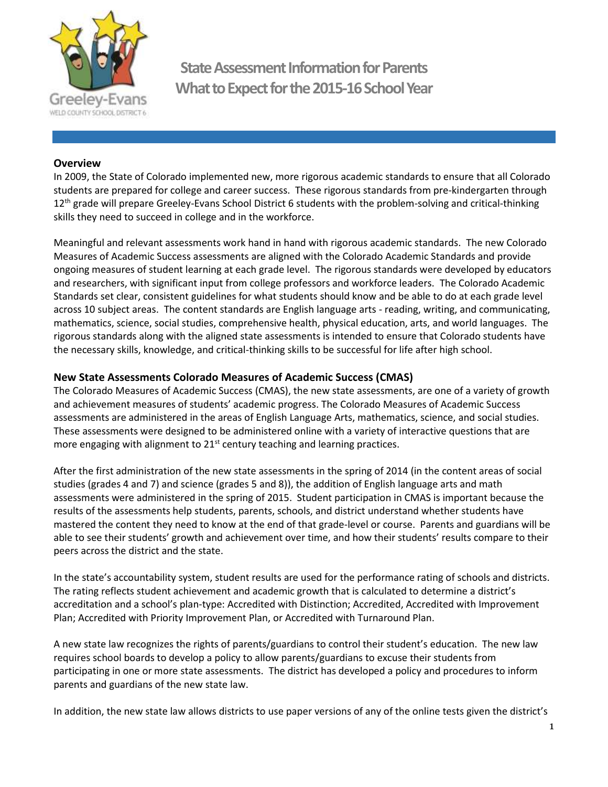

**State Assessment Information for Parents What to Expect for the 2015-16 School Year**

#### **Overview**

In 2009, the State of Colorado implemented new, more rigorous academic standards to ensure that all Colorado students are prepared for college and career success. These rigorous standards from pre-kindergarten through 12<sup>th</sup> grade will prepare Greeley-Evans School District 6 students with the problem-solving and critical-thinking skills they need to succeed in college and in the workforce.

Meaningful and relevant assessments work hand in hand with rigorous academic standards. The new Colorado Measures of Academic Success assessments are aligned with the Colorado Academic Standards and provide ongoing measures of student learning at each grade level. The rigorous standards were developed by educators and researchers, with significant input from college professors and workforce leaders. The Colorado Academic Standards set clear, consistent guidelines for what students should know and be able to do at each grade level across 10 subject areas. The content standards are English language arts - reading, writing, and communicating, mathematics, science, social studies, comprehensive health, physical education, arts, and world languages. The rigorous standards along with the aligned state assessments is intended to ensure that Colorado students have the necessary skills, knowledge, and critical-thinking skills to be successful for life after high school.

#### **New State Assessments Colorado Measures of Academic Success (CMAS)**

The Colorado Measures of Academic Success (CMAS), the new state assessments, are one of a variety of growth and achievement measures of students' academic progress. The Colorado Measures of Academic Success assessments are administered in the areas of English Language Arts, mathematics, science, and social studies. These assessments were designed to be administered online with a variety of interactive questions that are more engaging with alignment to  $21<sup>st</sup>$  century teaching and learning practices.

After the first administration of the new state assessments in the spring of 2014 (in the content areas of social studies (grades 4 and 7) and science (grades 5 and 8)), the addition of English language arts and math assessments were administered in the spring of 2015. Student participation in CMAS is important because the results of the assessments help students, parents, schools, and district understand whether students have mastered the content they need to know at the end of that grade-level or course. Parents and guardians will be able to see their students' growth and achievement over time, and how their students' results compare to their peers across the district and the state.

In the state's accountability system, student results are used for the performance rating of schools and districts. The rating reflects student achievement and academic growth that is calculated to determine a district's accreditation and a school's plan-type: Accredited with Distinction; Accredited, Accredited with Improvement Plan; Accredited with Priority Improvement Plan, or Accredited with Turnaround Plan.

A new state law recognizes the rights of parents/guardians to control their student's education. The new law requires school boards to develop a policy to allow parents/guardians to excuse their students from participating in one or more state assessments. The district has developed a policy and procedures to inform parents and guardians of the new state law.

In addition, the new state law allows districts to use paper versions of any of the online tests given the district's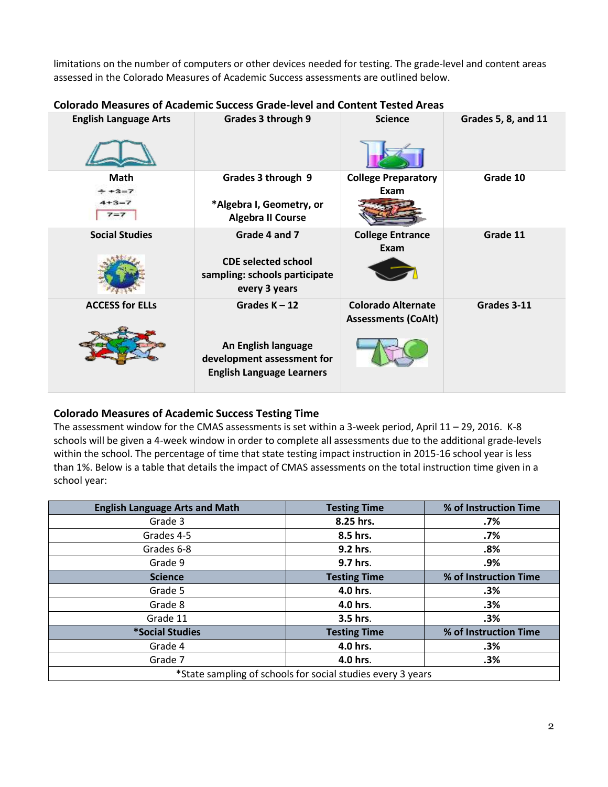limitations on the number of computers or other devices needed for testing. The grade-level and content areas assessed in the Colorado Measures of Academic Success assessments are outlined below.

| <b>English Language Arts</b>             | Grades 3 through 9                                                                                       | <b>Science</b>                                          | Grades 5, 8, and 11 |
|------------------------------------------|----------------------------------------------------------------------------------------------------------|---------------------------------------------------------|---------------------|
| Math<br>$+3-7$<br>$4 + 3 - 7$<br>$7 = 7$ | Grades 3 through 9<br>*Algebra I, Geometry, or<br><b>Algebra II Course</b>                               | <b>College Preparatory</b><br>Exam                      | Grade 10            |
| <b>Social Studies</b>                    | Grade 4 and 7<br><b>CDE selected school</b><br>sampling: schools participate<br>every 3 years            | <b>College Entrance</b><br>Exam                         | Grade 11            |
| <b>ACCESS for ELLs</b>                   | Grades $K - 12$<br>An English language<br>development assessment for<br><b>English Language Learners</b> | <b>Colorado Alternate</b><br><b>Assessments (CoAlt)</b> | Grades 3-11         |

### **Colorado Measures of Academic Success Grade-level and Content Tested Areas**

# **Colorado Measures of Academic Success Testing Time**

The assessment window for the CMAS assessments is set within a 3-week period, April  $11 - 29$ , 2016. K-8 schools will be given a 4-week window in order to complete all assessments due to the additional grade-levels within the school. The percentage of time that state testing impact instruction in 2015-16 school year is less than 1%. Below is a table that details the impact of CMAS assessments on the total instruction time given in a school year:

| <b>English Language Arts and Math</b>                                         | <b>Testing Time</b> | % of Instruction Time |  |  |
|-------------------------------------------------------------------------------|---------------------|-----------------------|--|--|
| Grade 3                                                                       | 8.25 hrs.           | .7%                   |  |  |
| Grades 4-5                                                                    | 8.5 hrs.            | .7%                   |  |  |
| Grades 6-8                                                                    | 9.2 hrs.            | .8%                   |  |  |
| Grade 9                                                                       | 9.7 hrs.            | .9%                   |  |  |
| <b>Science</b>                                                                | <b>Testing Time</b> | % of Instruction Time |  |  |
| Grade 5                                                                       | 4.0 hrs.            | .3%                   |  |  |
| Grade 8                                                                       | 4.0 hrs.            | .3%                   |  |  |
| Grade 11                                                                      | 3.5 hrs.            | .3%                   |  |  |
| <i><b>*Social Studies</b></i><br>% of Instruction Time<br><b>Testing Time</b> |                     |                       |  |  |
| Grade 4                                                                       | 4.0 hrs.            | .3%                   |  |  |
| Grade 7                                                                       | 4.0 hrs.            | .3%                   |  |  |
| *State sampling of schools for social studies every 3 years                   |                     |                       |  |  |